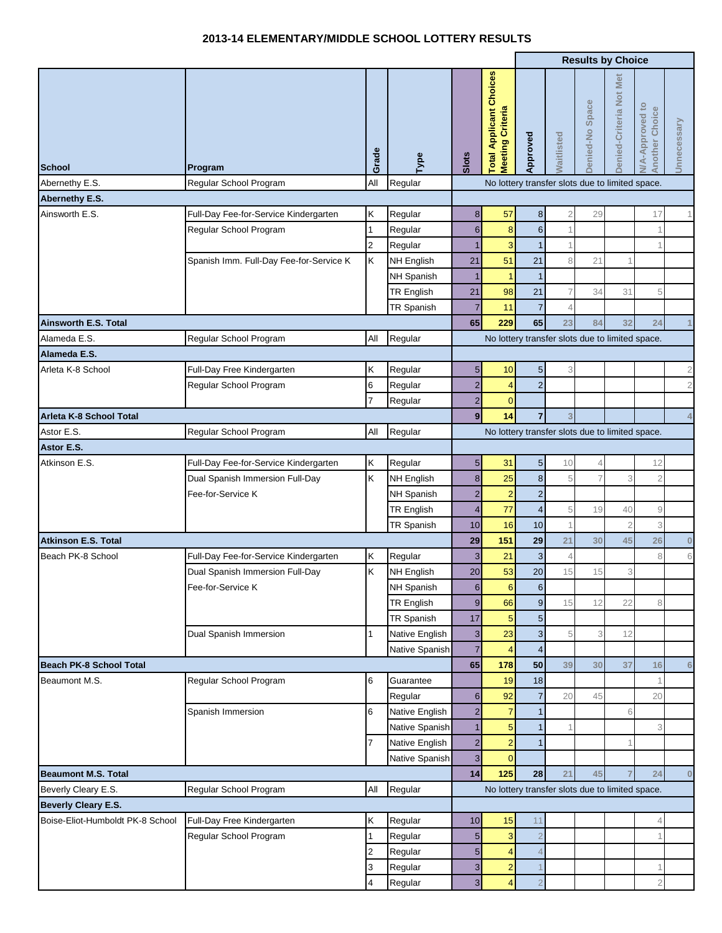## **2013-14 ELEMENTARY/MIDDLE SCHOOL LOTTERY RESULTS**

|                                  |                                         |                     |                    |                                         |                                                    |                  | <b>Results by Choice</b> |                 |                         |                                                 |                |  |
|----------------------------------|-----------------------------------------|---------------------|--------------------|-----------------------------------------|----------------------------------------------------|------------------|--------------------------|-----------------|-------------------------|-------------------------------------------------|----------------|--|
| <b>School</b>                    | Program                                 | Grade               | Type               | Slots                                   | <b>Total Applicant Choices</b><br>Meeting Criteria | Approved         | aitlisted                | Denied-No Space | Denied-Criteria Not Met | <b>V/A-Approved to</b><br><b>Another Choice</b> | Unnecessary    |  |
| Abernethy E.S.                   | Regular School Program                  | All                 | Regular            |                                         | No lottery transfer slots due to limited space.    |                  |                          |                 |                         |                                                 |                |  |
| Abernethy E.S.                   |                                         |                     |                    |                                         |                                                    |                  |                          |                 |                         |                                                 |                |  |
| Ainsworth E.S.                   | Full-Day Fee-for-Service Kindergarten   | Κ                   | Regular            | $\bf8$                                  | 57                                                 | 8                | $\overline{2}$           | 29              |                         | 17                                              |                |  |
|                                  | Regular School Program                  | 1                   | Regular            | $6\phantom{1}$                          | 8                                                  | $6\phantom{1}6$  |                          |                 |                         |                                                 |                |  |
|                                  |                                         | $\overline{c}$      | Regular            | 1                                       | 3                                                  |                  |                          |                 |                         |                                                 |                |  |
|                                  | Spanish Imm. Full-Day Fee-for-Service K | Κ                   | <b>NH English</b>  | 21                                      | 51                                                 | 21               | 8                        | 21              |                         |                                                 |                |  |
|                                  |                                         |                     | NH Spanish         | 1                                       |                                                    | $\overline{1}$   |                          |                 |                         |                                                 |                |  |
|                                  |                                         |                     | <b>TR English</b>  | 21                                      | 98                                                 | 21               | $\overline{7}$           | 34              | 31                      | 5                                               |                |  |
|                                  |                                         |                     | TR Spanish         | 7                                       | 11                                                 | $\overline{7}$   | $\Delta$                 |                 |                         |                                                 |                |  |
| Ainsworth E.S. Total             |                                         |                     |                    | 65                                      | 229                                                | 65               | 23                       | 84              | 32                      | 24                                              | $\overline{1}$ |  |
| Alameda E.S.                     | Regular School Program                  | All                 | Regular            |                                         | No lottery transfer slots due to limited space.    |                  |                          |                 |                         |                                                 |                |  |
| Alameda E.S.                     |                                         |                     |                    |                                         |                                                    |                  |                          |                 |                         |                                                 |                |  |
| Arleta K-8 School                | Full-Day Free Kindergarten              | Κ                   | Regular            | $\overline{5}$                          | 10                                                 | $5\overline{)}$  | 3                        |                 |                         |                                                 | $\sqrt{2}$     |  |
|                                  | Regular School Program                  | 6                   | Regular            | $\overline{2}$                          | 4                                                  | $\overline{2}$   |                          |                 |                         |                                                 | $\sqrt{2}$     |  |
| Arleta K-8 School Total          |                                         |                     | Regular            | $\overline{c}$<br>$\overline{9}$        | $\mathbf{0}$                                       |                  |                          |                 |                         |                                                 |                |  |
| Astor E.S.                       |                                         | All                 | Regular            |                                         | 14                                                 | $\overline{7}$   | 3                        |                 |                         |                                                 | $\sqrt{4}$     |  |
| Astor E.S.                       | Regular School Program                  |                     |                    |                                         | No lottery transfer slots due to limited space.    |                  |                          |                 |                         |                                                 |                |  |
| Atkinson E.S.                    | Full-Day Fee-for-Service Kindergarten   | Κ                   | Regular            | $\overline{5}$                          | 31                                                 | $5\overline{)}$  | 10                       | 4               |                         | 12                                              |                |  |
|                                  | Dual Spanish Immersion Full-Day         | K                   | <b>NH English</b>  | $\bf8$                                  | 25                                                 | $\boldsymbol{8}$ | 5                        | 7               | 3                       |                                                 |                |  |
|                                  | Fee-for-Service K                       |                     | NH Spanish         | $\overline{2}$                          | $\overline{2}$                                     | $\overline{c}$   |                          |                 |                         |                                                 |                |  |
|                                  |                                         |                     | <b>TR English</b>  | $\overline{\mathbf{4}}$                 | 77                                                 | $\overline{4}$   | 5                        | 19              | 40                      | 9                                               |                |  |
|                                  |                                         |                     | TR Spanish         | 10                                      | 16                                                 | 10               | $\overline{1}$           |                 | $\overline{2}$          | 3                                               |                |  |
| <b>Atkinson E.S. Total</b>       |                                         |                     |                    | 29                                      | 151                                                | 29               | 21                       | 30              | 45                      | 26                                              | $\pmb{0}$      |  |
| Beach PK-8 School                | Full-Day Fee-for-Service Kindergarten   | Κ                   | Regular            | 3                                       | 21                                                 | $\mathbf{3}$     | $\overline{4}$           |                 |                         | 8                                               | $\,6\,$        |  |
|                                  | Dual Spanish Immersion Full-Day         | Κ                   | <b>NH English</b>  | 20                                      | 53                                                 | 20               | 15                       | 15              | 3                       |                                                 |                |  |
|                                  | Fee-for-Service K                       |                     | NH Spanish         | $6 \overline{6}$                        | $6 \overline{6}$                                   | $6 \overline{6}$ |                          |                 |                         |                                                 |                |  |
|                                  |                                         |                     | <b>TR English</b>  | $\boldsymbol{9}$                        | 66                                                 | $\overline{9}$   | 15                       | 12              | 22                      | 8                                               |                |  |
|                                  |                                         |                     | TR Spanish         | 17                                      | 5                                                  | $5\overline{)}$  |                          |                 |                         |                                                 |                |  |
|                                  | Dual Spanish Immersion                  | 1                   | Native English     | $\mathbf{3}$                            | 23                                                 | $\mathbf{3}$     | 5                        | 3               | 12                      |                                                 |                |  |
|                                  |                                         |                     | Native Spanish     | $\overline{7}$                          | $\overline{4}$                                     | $\overline{4}$   |                          |                 |                         |                                                 |                |  |
| <b>Beach PK-8 School Total</b>   |                                         |                     |                    | 65                                      | 178                                                | 50               | 39                       | 30              | 37                      | 16                                              | $6\phantom{1}$ |  |
| Beaumont M.S.                    | Regular School Program                  | 6                   | Guarantee          |                                         | 19                                                 | 18               |                          |                 |                         |                                                 |                |  |
|                                  |                                         |                     | Regular            | $6 \,$                                  | 92                                                 | $\overline{7}$   | 20                       | 45              |                         | 20                                              |                |  |
|                                  | Spanish Immersion                       | 6                   | Native English     | $\overline{2}$                          | 7                                                  |                  |                          |                 | 6                       |                                                 |                |  |
|                                  |                                         |                     | Native Spanish     | $\overline{1}$                          | 5                                                  |                  |                          |                 |                         | 3                                               |                |  |
|                                  |                                         | 7                   | Native English     | $\overline{2}$                          | $\overline{2}$                                     |                  |                          |                 |                         |                                                 |                |  |
|                                  |                                         |                     | Native Spanish     | $\overline{\mathbf{3}}$                 | $\Omega$                                           |                  |                          |                 |                         |                                                 |                |  |
| <b>Beaumont M.S. Total</b>       |                                         |                     |                    | 14                                      | 125                                                | 28               | 21                       | 45              |                         | 24                                              | $\bf{0}$       |  |
| Beverly Cleary E.S.              | Regular School Program                  | All                 | Regular            |                                         | No lottery transfer slots due to limited space.    |                  |                          |                 |                         |                                                 |                |  |
| Beverly Cleary E.S.              |                                         |                     |                    |                                         |                                                    |                  |                          |                 |                         |                                                 |                |  |
| Boise-Eliot-Humboldt PK-8 School | Full-Day Free Kindergarten              | Κ                   | Regular            | 10                                      | 15                                                 | 11               |                          |                 |                         |                                                 |                |  |
|                                  | Regular School Program                  | 1                   | Regular            | $\overline{5}$                          | 3                                                  | $\overline{2}$   |                          |                 |                         |                                                 |                |  |
|                                  |                                         | $\overline{2}$<br>3 | Regular            | $\overline{\mathbf{5}}$<br>$\mathbf{3}$ | 4<br>$\overline{2}$                                |                  |                          |                 |                         |                                                 |                |  |
|                                  |                                         | 4                   | Regular<br>Regular | $\overline{3}$                          |                                                    |                  |                          |                 |                         |                                                 |                |  |
|                                  |                                         |                     |                    |                                         |                                                    |                  |                          |                 |                         |                                                 |                |  |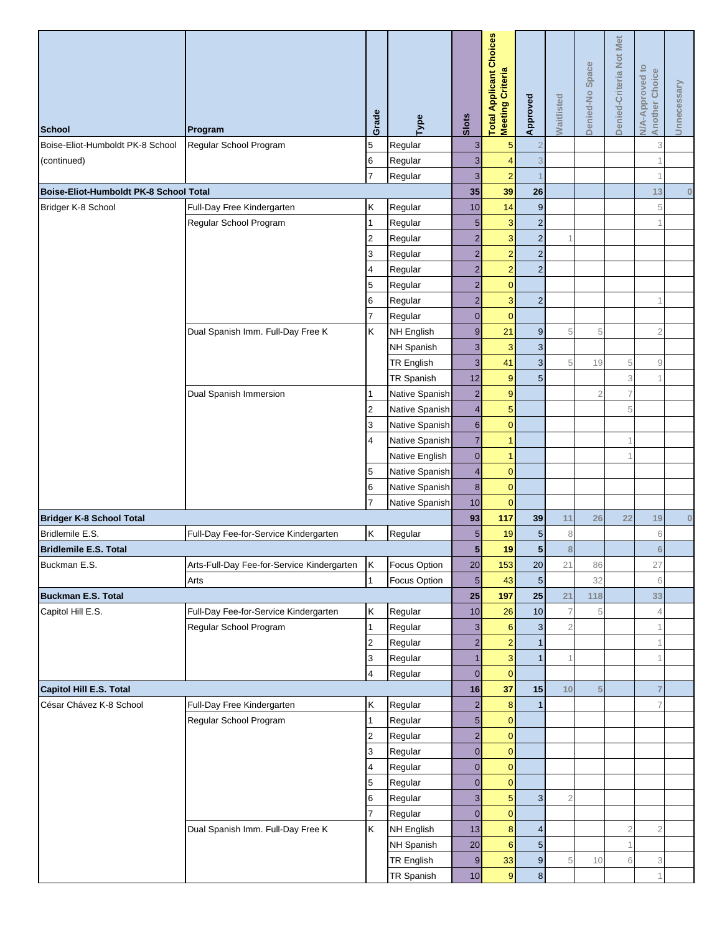|                                        |                                            | Grade          | Type           | Slots            | <b>Total Applicant Choices</b><br><b>Meeting Criteria</b> | Approved         | <b>Waitlisted</b> | Denied-No Space | Denied-Criteria Not Met | <b>N/A-Approved to</b><br>Another Choice | Unnecessary |
|----------------------------------------|--------------------------------------------|----------------|----------------|------------------|-----------------------------------------------------------|------------------|-------------------|-----------------|-------------------------|------------------------------------------|-------------|
| <b>School</b>                          | Program                                    |                |                |                  |                                                           |                  |                   |                 |                         |                                          |             |
| Boise-Eliot-Humboldt PK-8 School       | Regular School Program                     | 5              | Regular        | 3                | 5                                                         | $\overline{2}$   |                   |                 |                         | 3                                        |             |
| (continued)                            |                                            | 6              | Regular        | $\overline{3}$   | 4                                                         | 3                |                   |                 |                         |                                          |             |
|                                        |                                            | $\overline{7}$ | Regular        | $\overline{3}$   | $\overline{2}$                                            |                  |                   |                 |                         | $\overline{1}$                           |             |
| Boise-Eliot-Humboldt PK-8 School Total |                                            |                |                | 35               | 39                                                        | 26               |                   |                 |                         | 13                                       | $\pmb{0}$   |
| Bridger K-8 School                     | Full-Day Free Kindergarten                 | Κ              | Regular        | 10               | 14                                                        | $\boldsymbol{9}$ |                   |                 |                         | 5                                        |             |
|                                        | Regular School Program                     | 1              | Regular        | 5                | 3                                                         | $\overline{2}$   |                   |                 |                         |                                          |             |
|                                        |                                            | $\overline{c}$ | Regular        | $\overline{2}$   | 3                                                         | $\overline{c}$   | 1                 |                 |                         |                                          |             |
|                                        |                                            | 3              | Regular        | $\overline{2}$   | $\overline{2}$                                            | $\mathbf 2$      |                   |                 |                         |                                          |             |
|                                        |                                            | 4              | Regular        | 2                | $\overline{2}$                                            | $\overline{c}$   |                   |                 |                         |                                          |             |
|                                        |                                            | 5              | Regular        | $\overline{2}$   | $\overline{0}$                                            |                  |                   |                 |                         |                                          |             |
|                                        |                                            | 6              | Regular        | $\overline{2}$   | 3                                                         | $\overline{2}$   |                   |                 |                         |                                          |             |
|                                        |                                            | $\overline{7}$ | Regular        | $\overline{0}$   | $\overline{0}$                                            |                  |                   |                 |                         |                                          |             |
|                                        | Dual Spanish Imm. Full-Day Free K          | K              | NH English     | $\overline{9}$   | 21                                                        | $\boldsymbol{9}$ | 5                 | 5               |                         | $\overline{2}$                           |             |
|                                        |                                            |                | NH Spanish     | $\overline{3}$   | 3                                                         | $\mathbf{3}$     |                   |                 |                         |                                          |             |
|                                        |                                            |                | TR English     | $\mathbf{3}$     | 41                                                        | $\sqrt{3}$       | 5                 | 19              | 5                       | 9                                        |             |
|                                        |                                            |                | TR Spanish     | 12               | 9                                                         | 5                |                   |                 | 3                       |                                          |             |
|                                        | Dual Spanish Immersion                     | 1              | Native Spanish | $\overline{2}$   | 9                                                         |                  |                   |                 |                         |                                          |             |
|                                        |                                            | $\overline{2}$ | Native Spanish | $\overline{4}$   | 5                                                         |                  |                   |                 | 5                       |                                          |             |
|                                        |                                            | 3              | Native Spanish | $6 \overline{6}$ | $\overline{0}$                                            |                  |                   |                 |                         |                                          |             |
|                                        |                                            | 4              | Native Spanish | $\overline{7}$   | 1                                                         |                  |                   |                 |                         |                                          |             |
|                                        |                                            |                | Native English | $\overline{0}$   | 1                                                         |                  |                   |                 |                         |                                          |             |
|                                        |                                            | 5              | Native Spanish | $\overline{4}$   | $\overline{0}$<br>$\overline{0}$                          |                  |                   |                 |                         |                                          |             |
|                                        |                                            | 6              | Native Spanish | $\bf{8}$<br>10   | $\overline{0}$                                            |                  |                   |                 |                         |                                          |             |
| <b>Bridger K-8 School Total</b>        |                                            |                | Native Spanish | 93               | 117                                                       | 39               | 11                | 26              | 22                      | 19                                       | $\pmb{0}$   |
| Bridlemile E.S.                        | Full-Day Fee-for-Service Kindergarten      | Κ              | Regular        | $5\phantom{.0}$  | 19                                                        | $\sqrt{5}$       | 8                 |                 |                         | 6                                        |             |
| <b>Bridlemile E.S. Total</b>           |                                            |                |                | 5 <sub>5</sub>   | 19                                                        | 5                | 8                 |                 |                         | 6                                        |             |
| Buckman E.S.                           | Arts-Full-Day Fee-for-Service Kindergarten | Ιĸ             | Focus Option   | 20               | 153                                                       | 20               | 21                | 86              |                         | 27                                       |             |
|                                        | Arts                                       | $\mathbf{1}$   | Focus Option   | $5\overline{)}$  | 43                                                        | $\overline{5}$   |                   | 32              |                         | 6                                        |             |
| <b>Buckman E.S. Total</b>              |                                            |                |                | 25               | 197                                                       | 25               | 21                | 118             |                         | 33                                       |             |
| Capitol Hill E.S.                      | Full-Day Fee-for-Service Kindergarten      | Κ              | Regular        | 10               | 26                                                        | 10               | $\overline{7}$    |                 |                         | $\overline{4}$                           |             |
|                                        | Regular School Program                     | $\mathbf{1}$   | Regular        | $\mathbf{3}$     | $6\phantom{1}6$                                           | 3                | $\overline{c}$    |                 |                         |                                          |             |
|                                        |                                            | $\overline{2}$ | Regular        | $\overline{2}$   | $\overline{2}$                                            | $\mathbf{1}$     |                   |                 |                         | $\overline{1}$                           |             |
|                                        |                                            | 3              | Regular        |                  | 3                                                         | $\mathbf{1}$     | 1                 |                 |                         |                                          |             |
|                                        |                                            | 4              | Regular        | $\overline{0}$   | $\mathbf{0}$                                              |                  |                   |                 |                         |                                          |             |
| Capitol Hill E.S. Total                |                                            |                |                | 16               | 37                                                        | 15               | 10                | 5               |                         |                                          |             |
| César Chávez K-8 School                | Full-Day Free Kindergarten                 | Κ              | Regular        | $\overline{2}$   | 8                                                         | $\mathbf{1}$     |                   |                 |                         | $\overline{7}$                           |             |
|                                        | Regular School Program                     | 1              | Regular        | 5                | $\overline{0}$                                            |                  |                   |                 |                         |                                          |             |
|                                        |                                            | $\overline{c}$ | Regular        | $\overline{2}$   | $\mathbf{0}$                                              |                  |                   |                 |                         |                                          |             |
|                                        |                                            | 3              | Regular        | $\overline{0}$   | $\overline{0}$                                            |                  |                   |                 |                         |                                          |             |
|                                        |                                            | 4              | Regular        | $\overline{0}$   | $\mathbf{0}$                                              |                  |                   |                 |                         |                                          |             |
|                                        |                                            | 5              | Regular        | $\overline{0}$   | $\overline{0}$                                            |                  |                   |                 |                         |                                          |             |
|                                        |                                            | 6              | Regular        | $\mathbf{3}$     | 5                                                         | $\overline{3}$   | $\overline{2}$    |                 |                         |                                          |             |
|                                        |                                            | 7              | Regular        | $\overline{0}$   | $\mathbf{0}$                                              |                  |                   |                 |                         |                                          |             |
|                                        | Dual Spanish Imm. Full-Day Free K          | Κ              | NH English     | 13               | 8                                                         | 4                |                   |                 | $\overline{2}$          | $\overline{2}$                           |             |
|                                        |                                            |                | NH Spanish     | 20               | $6\phantom{1}6$                                           | $\sqrt{5}$       |                   |                 |                         |                                          |             |
|                                        |                                            |                | TR English     | $\overline{9}$   | 33                                                        | $\boldsymbol{9}$ | 5                 | 10              | 6                       | 3                                        |             |
|                                        |                                            |                | TR Spanish     | 10               | 9                                                         | $\bf 8$          |                   |                 |                         | $\overline{1}$                           |             |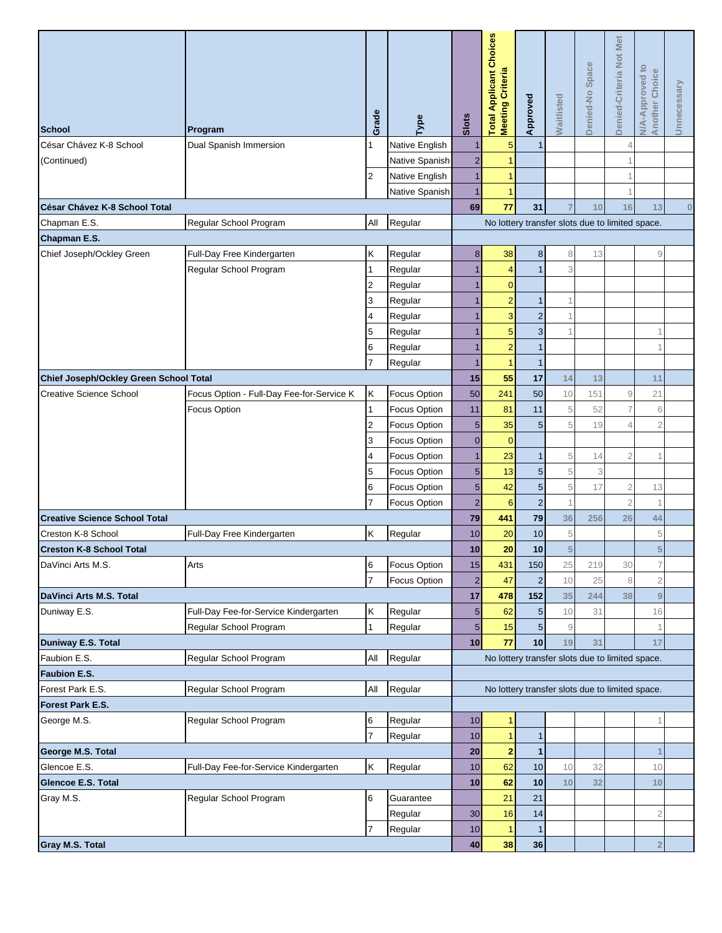| <b>School</b>                          | Program                                   | Grade           | Туре                | Slots           | <b>Total Applicant Choices</b><br>Meeting Criteria | Approved        | <b>Naitlisted</b>                                         | Denied-No Space | Denied-Criteria Not Met | <b>N/A-Approved to</b><br><b>Another Choice</b> | Unnecessary |
|----------------------------------------|-------------------------------------------|-----------------|---------------------|-----------------|----------------------------------------------------|-----------------|-----------------------------------------------------------|-----------------|-------------------------|-------------------------------------------------|-------------|
| César Chávez K-8 School                | Dual Spanish Immersion                    |                 | Native English      |                 | 5                                                  | $\mathbf{1}$    |                                                           |                 |                         |                                                 |             |
| (Continued)                            |                                           |                 | Native Spanish      | $\overline{2}$  |                                                    |                 |                                                           |                 |                         |                                                 |             |
|                                        |                                           | $\overline{2}$  | Native English      | 1               | 1                                                  |                 |                                                           |                 |                         |                                                 |             |
|                                        |                                           |                 | Native Spanish      |                 | 1                                                  |                 |                                                           |                 |                         |                                                 |             |
| César Chávez K-8 School Total          |                                           |                 |                     | 69              | 77                                                 | 31              |                                                           | 10              | 16                      | 13                                              | $\bf{0}$    |
| Chapman E.S.                           | Regular School Program                    | All             | Regular             |                 | No lottery transfer slots due to limited space.    |                 |                                                           |                 |                         |                                                 |             |
| Chapman E.S.                           |                                           |                 |                     |                 |                                                    |                 |                                                           |                 |                         |                                                 |             |
| Chief Joseph/Ockley Green              | Full-Day Free Kindergarten                | Κ               | Regular             | 8 <sup>1</sup>  | 38                                                 | 8               | 8                                                         | 13              |                         | 9                                               |             |
|                                        | Regular School Program                    | $\overline{1}$  | Regular             |                 | 4                                                  | $\mathbf{1}$    | 3                                                         |                 |                         |                                                 |             |
|                                        |                                           | $\overline{2}$  | Regular             |                 | $\mathbf 0$                                        |                 |                                                           |                 |                         |                                                 |             |
|                                        |                                           | 3               | Regular             |                 | $\overline{2}$                                     | 1               |                                                           |                 |                         |                                                 |             |
|                                        |                                           | 4               | Regular             |                 | 3                                                  | $\overline{2}$  |                                                           |                 |                         |                                                 |             |
|                                        |                                           | 5               | Regular             |                 | 5                                                  | $\mathbf{3}$    |                                                           |                 |                         |                                                 |             |
|                                        |                                           | 6               | Regular             |                 | $\overline{a}$                                     | $\mathbf{1}$    |                                                           |                 |                         |                                                 |             |
|                                        |                                           |                 | Regular             |                 | 1                                                  | $\mathbf{1}$    |                                                           |                 |                         |                                                 |             |
| Chief Joseph/Ockley Green School Total |                                           |                 |                     | 15              | 55                                                 | 17              | 14                                                        | 13              |                         | 11                                              |             |
| <b>Creative Science School</b>         | Focus Option - Full-Day Fee-for-Service K | Κ               | Focus Option        | 50              | 241                                                | 50              | 10                                                        | 151             | $\overline{9}$          | 21                                              |             |
|                                        | Focus Option                              | 1               | Focus Option        | 11              | 81                                                 | 11              | 5                                                         | 52              | $\overline{7}$          | 6                                               |             |
|                                        |                                           | $\overline{2}$  | Focus Option        | 5 <sub>5</sub>  | 35                                                 | $\sqrt{5}$      | 5                                                         | 19              |                         | $\overline{2}$                                  |             |
|                                        |                                           | 3               | Focus Option        | $\overline{0}$  | $\overline{0}$                                     |                 |                                                           |                 |                         |                                                 |             |
|                                        |                                           | 4               | Focus Option        |                 | 23                                                 | 1               | 5                                                         | 14              | $\overline{2}$          |                                                 |             |
|                                        |                                           | 5               | <b>Focus Option</b> | 5 <sub>5</sub>  | 13                                                 | $\sqrt{5}$      | 5                                                         | 3               |                         |                                                 |             |
|                                        |                                           | 6               | Focus Option        | 5 <sub>5</sub>  | 42                                                 | $\overline{5}$  | $\sqrt{5}$                                                | 17              | $\overline{2}$          | 13                                              |             |
|                                        |                                           |                 | <b>Focus Option</b> | $\overline{2}$  | 6                                                  | $\overline{2}$  | $\mathbf{1}$                                              |                 | $\overline{2}$          |                                                 |             |
| <b>Creative Science School Total</b>   |                                           |                 |                     | 79              | 441                                                | 79              | 36                                                        | 256             | 26                      | 44                                              |             |
| Creston K-8 School                     | Full-Day Free Kindergarten                | Κ               | Regular             | 10              | 20                                                 | 10              | 5                                                         |                 |                         | 5                                               |             |
| <b>Creston K-8 School Total</b>        |                                           |                 |                     | 10              | 20                                                 | 10              | $\overline{5}$                                            |                 |                         | 5                                               |             |
| DaVinci Arts M.S.                      | Arts                                      | 6               | Focus Option        | 15              | 431                                                | 150             | 25                                                        | 219             | 30                      | 7                                               |             |
|                                        |                                           | $\overline{7}$  | <b>Focus Option</b> | $\overline{2}$  | 47                                                 |                 | 10                                                        | 25              |                         | $\overline{2}$                                  |             |
| DaVinci Arts M.S. Total                |                                           |                 |                     | 17              | 478                                                | 152             | 35                                                        | 244             | 38                      | 9                                               |             |
| Duniway E.S.                           | Full-Day Fee-for-Service Kindergarten     | Κ               | Regular             | 5 <sub>5</sub>  | 62                                                 | 5               | 10                                                        | 31              |                         | 16                                              |             |
|                                        | Regular School Program                    | $\overline{1}$  | Regular             | 5 <sub>5</sub>  | 15                                                 | $5\overline{)}$ | $\mathcal{G}% _{M_{1},M_{2}}^{\alpha,\beta}(\mathcal{G})$ |                 |                         | 1                                               |             |
| Duniway E.S. Total                     |                                           |                 |                     | 10              | 77                                                 | 10              | 19                                                        | 31              |                         | 17                                              |             |
| Faubion E.S.                           | Regular School Program                    | All             | Regular             |                 | No lottery transfer slots due to limited space.    |                 |                                                           |                 |                         |                                                 |             |
| Faubion E.S.                           |                                           |                 |                     |                 |                                                    |                 |                                                           |                 |                         |                                                 |             |
| Forest Park E.S.                       | Regular School Program                    | All             | Regular             |                 | No lottery transfer slots due to limited space.    |                 |                                                           |                 |                         |                                                 |             |
| Forest Park E.S.                       |                                           |                 |                     |                 |                                                    |                 |                                                           |                 |                         |                                                 |             |
| George M.S.                            | Regular School Program                    | 6               | Regular             | 10              | $\mathbf{1}$                                       |                 |                                                           |                 |                         |                                                 |             |
|                                        |                                           | $\overline{7}$  | Regular             | 10              |                                                    | $\mathbf{1}$    |                                                           |                 |                         |                                                 |             |
| George M.S. Total                      |                                           |                 |                     | 20              | $\overline{\mathbf{c}}$                            | 1               |                                                           |                 |                         |                                                 |             |
| Glencoe E.S.                           | Full-Day Fee-for-Service Kindergarten     | Κ               | Regular             | 10              | 62                                                 | 10              | 10                                                        | 32              |                         | 10                                              |             |
| <b>Glencoe E.S. Total</b>              |                                           |                 |                     | 10              | 62                                                 | 10              | 10                                                        | 32              |                         | 10                                              |             |
| Gray M.S.                              | Regular School Program                    | $6\phantom{.}6$ | Guarantee           |                 | 21                                                 | 21              |                                                           |                 |                         |                                                 |             |
|                                        |                                           |                 | Regular             | 30 <sub>0</sub> | 16                                                 | 14              |                                                           |                 |                         | $\overline{2}$                                  |             |
|                                        |                                           |                 | Regular             | 10              | 1                                                  | 1               |                                                           |                 |                         |                                                 |             |
| Gray M.S. Total                        |                                           |                 |                     | 40              | 38                                                 | 36              |                                                           |                 |                         | $\overline{2}$                                  |             |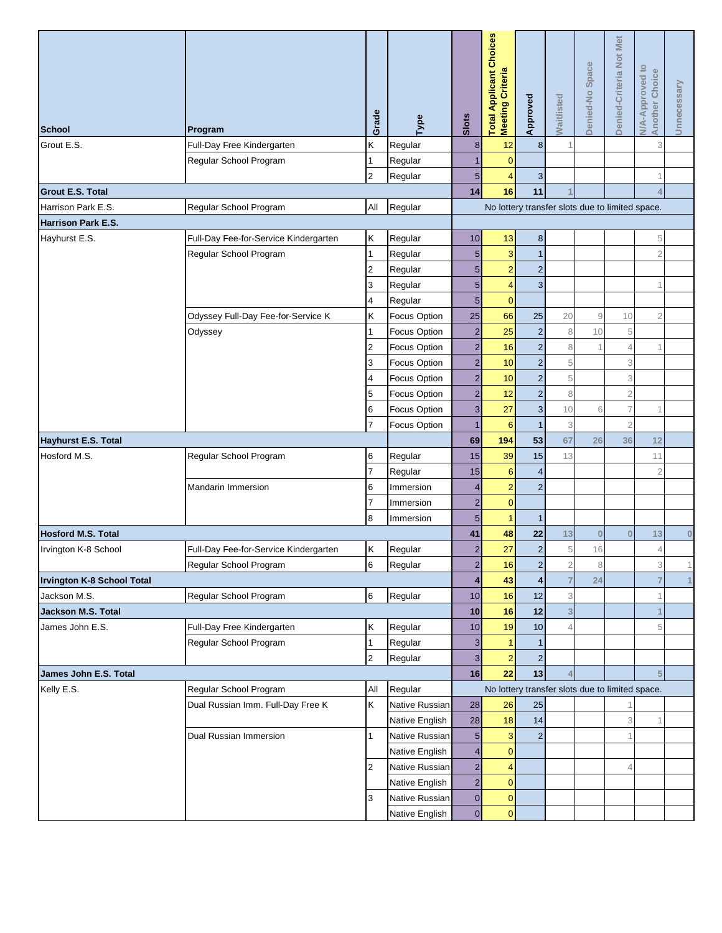| <b>School</b>                     | Program                               | Grade          | Type                | Slots                                           | <b>Total Applicant Choices</b><br><b>Meeting Criteria</b> | Approved                  | <b>Waitlisted</b>         | Denied-No Space | Denied-Criteria Not Met | <b>N/A-Approved to</b><br><b>Another Choice</b> | Unnecessary |  |
|-----------------------------------|---------------------------------------|----------------|---------------------|-------------------------------------------------|-----------------------------------------------------------|---------------------------|---------------------------|-----------------|-------------------------|-------------------------------------------------|-------------|--|
| Grout E.S.                        | Full-Day Free Kindergarten            | Κ              | Regular             | 8                                               | 12                                                        | $\bf 8$                   |                           |                 |                         | 3                                               |             |  |
|                                   | Regular School Program                | 1              | Regular             | 1                                               | $\mathbf{0}$                                              |                           |                           |                 |                         |                                                 |             |  |
|                                   |                                       | 2              | Regular             | $5\overline{)}$                                 | 4                                                         | $\ensuremath{\mathsf{3}}$ |                           |                 |                         |                                                 |             |  |
| <b>Grout E.S. Total</b>           |                                       |                |                     | 14                                              | 16                                                        | 11                        |                           |                 |                         |                                                 |             |  |
| Harrison Park E.S.                | Regular School Program                | All            | Regular             | No lottery transfer slots due to limited space. |                                                           |                           |                           |                 |                         |                                                 |             |  |
| Harrison Park E.S.                |                                       |                |                     |                                                 |                                                           |                           |                           |                 |                         |                                                 |             |  |
| Hayhurst E.S.                     | Full-Day Fee-for-Service Kindergarten | K              | Regular             | 10                                              | 13                                                        | $\bf 8$                   |                           |                 |                         | 5                                               |             |  |
|                                   | Regular School Program                | 1              | Regular             | 5                                               | 3                                                         | $\mathbf{1}$              |                           |                 |                         | $\overline{2}$                                  |             |  |
|                                   |                                       | 2              | Regular             | 5 <sub>5</sub>                                  | $\overline{2}$                                            | $\overline{c}$            |                           |                 |                         |                                                 |             |  |
|                                   |                                       | 3              | Regular             | 5 <sup>5</sup>                                  | $\overline{4}$                                            | $\overline{3}$            |                           |                 |                         |                                                 |             |  |
|                                   |                                       | 4              | Regular             | 5                                               | $\overline{0}$                                            |                           |                           |                 |                         |                                                 |             |  |
|                                   | Odyssey Full-Day Fee-for-Service K    | K              | <b>Focus Option</b> | 25                                              | 66                                                        | 25                        | 20                        | 9               | 10                      | $\overline{2}$                                  |             |  |
|                                   | Odyssey                               | 1              | Focus Option        | $\overline{2}$                                  | 25                                                        | $\overline{c}$            | 8                         | 10              | 5                       |                                                 |             |  |
|                                   |                                       | 2              | Focus Option        | $\overline{2}$                                  | 16                                                        | $\overline{c}$            | $\,8\,$                   |                 | $\overline{4}$          |                                                 |             |  |
|                                   |                                       | 3              | Focus Option        | $\overline{2}$                                  | 10                                                        | $\overline{2}$            | $\,$ 5 $\,$               |                 | 3                       |                                                 |             |  |
|                                   |                                       | 4              | Focus Option        | $\overline{2}$                                  | 10                                                        | $\overline{c}$            | $\,$ 5 $\,$               |                 | 3                       |                                                 |             |  |
|                                   |                                       | 5              | Focus Option        | $\overline{2}$                                  | 12                                                        | $\overline{a}$            | 8                         |                 | $\mathbf 2$             |                                                 |             |  |
|                                   |                                       | 6              | Focus Option        | $\overline{3}$                                  | 27                                                        | $\overline{3}$            | 10                        | 6               | $\overline{7}$          |                                                 |             |  |
|                                   |                                       | $\overline{7}$ | <b>Focus Option</b> | $\mathbf{1}$                                    | $6\phantom{1}6$                                           | $\mathbf{1}$              | 3                         |                 | $\overline{2}$          |                                                 |             |  |
| Hayhurst E.S. Total               |                                       |                |                     | 69                                              | 194                                                       | 53                        | 67                        | 26              | 36                      | 12                                              |             |  |
| Hosford M.S.                      | Regular School Program                | 6              | Regular             | 15                                              | 39                                                        | 15                        | 13                        |                 |                         | 11                                              |             |  |
|                                   |                                       | $\overline{7}$ | Regular             | 15                                              | 6                                                         | $\overline{\mathbf{4}}$   |                           |                 |                         | $\overline{2}$                                  |             |  |
|                                   | Mandarin Immersion                    | 6              | Immersion           | $\overline{4}$                                  | $\overline{2}$                                            | $\overline{c}$            |                           |                 |                         |                                                 |             |  |
|                                   |                                       | 7              | Immersion           | $\overline{2}$                                  | $\overline{0}$                                            |                           |                           |                 |                         |                                                 |             |  |
|                                   |                                       | 8              | Immersion           | 5                                               |                                                           | $\mathbf{1}$              |                           |                 |                         |                                                 |             |  |
| <b>Hosford M.S. Total</b>         |                                       |                |                     | 41                                              | 48                                                        | 22                        | 13                        | $\bf{0}$        | $\bf{0}$                | 13                                              | $\pmb{0}$   |  |
| Irvington K-8 School              | Full-Day Fee-for-Service Kindergarten | Κ              | Regular             | $\overline{2}$                                  | 27                                                        | $\overline{c}$            | $\sqrt{5}$                | 16              |                         | $\Delta$                                        |             |  |
|                                   | Regular School Program                | 6              | Regular             | $\overline{2}$                                  | 16                                                        | $\overline{a}$            | $\sqrt{2}$                | 8               |                         | 3                                               | 11          |  |
| <b>Irvington K-8 School Total</b> |                                       |                |                     |                                                 | 43                                                        | $\overline{\mathbf{4}}$   | $\overline{7}$            | 24              |                         | $\overline{7}$                                  |             |  |
| Jackson M.S.                      | Regular School Program                | 6              | Regular             | 10                                              | 16                                                        | 12                        | 3                         |                 |                         |                                                 |             |  |
| Jackson M.S. Total                |                                       |                |                     | 10                                              | 16                                                        | 12                        | $\ensuremath{\mathsf{3}}$ |                 |                         |                                                 |             |  |
| James John E.S.                   | Full-Day Free Kindergarten            | Κ              | Regular             | 10                                              | 19                                                        | 10                        | $\overline{4}$            |                 |                         | 5                                               |             |  |
|                                   | Regular School Program                | 1              | Regular             | 3                                               |                                                           | $\mathbf{1}$              |                           |                 |                         |                                                 |             |  |
|                                   |                                       | 2              | Regular             | 3                                               | $\overline{2}$                                            | $\overline{c}$            |                           |                 |                         |                                                 |             |  |
| James John E.S. Total             |                                       |                |                     | 16                                              | 22                                                        | 13                        | 4                         |                 |                         | 5                                               |             |  |
| Kelly E.S.                        | Regular School Program                | All            | Regular             |                                                 | No lottery transfer slots due to limited space.           |                           |                           |                 |                         |                                                 |             |  |
|                                   | Dual Russian Imm. Full-Day Free K     | ĸ              | Native Russian      | 28                                              | 26                                                        | 25                        |                           |                 |                         |                                                 |             |  |
|                                   |                                       |                | Native English      | 28                                              | 18                                                        | 14                        |                           |                 | 3                       |                                                 |             |  |
|                                   | Dual Russian Immersion                | 1              | Native Russian      | 5                                               | 3                                                         | $\overline{c}$            |                           |                 |                         |                                                 |             |  |
|                                   |                                       |                | Native English      | $\overline{\mathbf{4}}$                         | $\mathbf{0}$                                              |                           |                           |                 |                         |                                                 |             |  |
|                                   |                                       | 2              | Native Russian      | $\overline{2}$                                  | $\overline{4}$                                            |                           |                           |                 | 4                       |                                                 |             |  |
|                                   |                                       |                | Native English      | $\overline{2}$                                  | $\mathbf{0}$                                              |                           |                           |                 |                         |                                                 |             |  |
|                                   |                                       | 3              | Native Russian      | $\overline{0}$                                  | $\mathbf{0}$                                              |                           |                           |                 |                         |                                                 |             |  |
|                                   |                                       |                | Native English      | $\overline{0}$                                  | $\overline{0}$                                            |                           |                           |                 |                         |                                                 |             |  |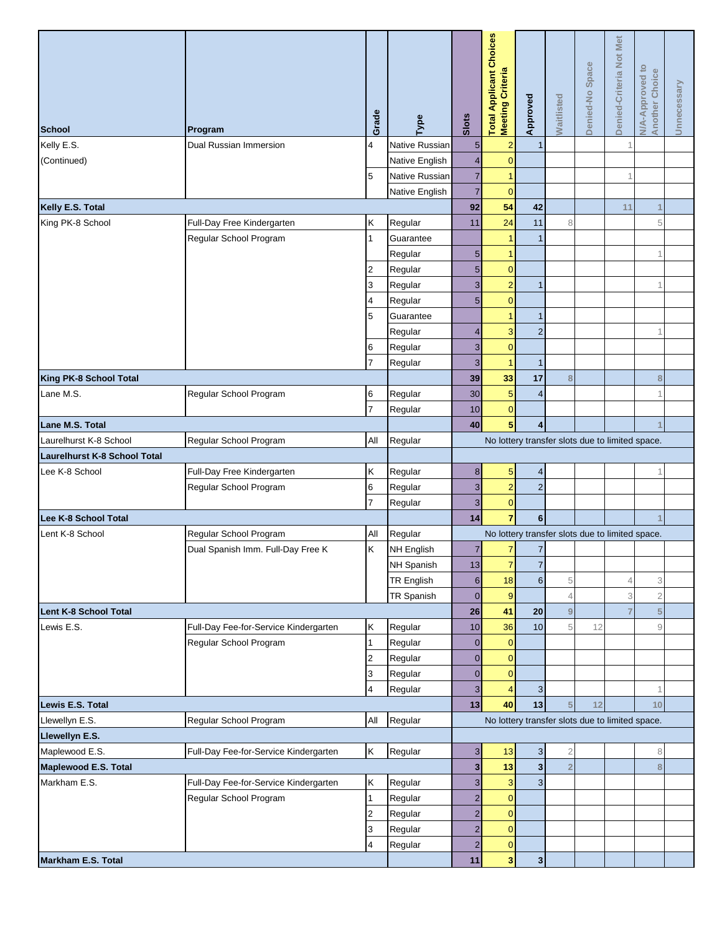|                                                                               |                                       | Grade          | Type              | Slots            | <b>Total Applicant Choices</b><br>Meeting Criteria | Approved                | Waitlisted       | Denied-No Space | Denied-Criteria Not Met | °<br><b>N/A-Approved to</b><br>Another Choice | Unnecessary |
|-------------------------------------------------------------------------------|---------------------------------------|----------------|-------------------|------------------|----------------------------------------------------|-------------------------|------------------|-----------------|-------------------------|-----------------------------------------------|-------------|
| <b>School</b>                                                                 | Program                               |                |                   |                  |                                                    |                         |                  |                 |                         |                                               |             |
| Kelly E.S.                                                                    | Dual Russian Immersion                | 4              | Native Russian    | 5                | $\overline{2}$                                     | $\mathbf{1}$            |                  |                 |                         |                                               |             |
| (Continued)                                                                   |                                       |                | Native English    | $\overline{4}$   | $\mathbf{0}$                                       |                         |                  |                 |                         |                                               |             |
|                                                                               |                                       | 5              | Native Russian    | $\overline{7}$   |                                                    |                         |                  |                 |                         |                                               |             |
|                                                                               |                                       |                | Native English    | $\overline{7}$   | $\overline{0}$                                     |                         |                  |                 |                         |                                               |             |
| Kelly E.S. Total                                                              |                                       |                |                   | 92               | 54                                                 | 42                      |                  |                 | 11                      | $\overline{1}$                                |             |
| King PK-8 School                                                              | Full-Day Free Kindergarten            | Κ              | Regular           | 11               | 24                                                 | 11                      | 8                |                 |                         | 5                                             |             |
|                                                                               | Regular School Program                | 1              | Guarantee         |                  |                                                    | $\mathbf{1}$            |                  |                 |                         |                                               |             |
|                                                                               |                                       |                | Regular           | 5                |                                                    |                         |                  |                 |                         | 1                                             |             |
|                                                                               |                                       | 2              | Regular           | 5                | $\mathbf{0}$                                       |                         |                  |                 |                         |                                               |             |
|                                                                               |                                       | 3              | Regular           | 3                | $\overline{2}$                                     | $\mathbf{1}$            |                  |                 |                         | 1                                             |             |
|                                                                               |                                       | 4              | Regular           | 5                | $\overline{0}$                                     |                         |                  |                 |                         |                                               |             |
|                                                                               |                                       | 5              | Guarantee         |                  |                                                    | $\mathbf{1}$            |                  |                 |                         |                                               |             |
|                                                                               |                                       |                | Regular           | $\overline{4}$   | 3                                                  | $\overline{2}$          |                  |                 |                         | 1                                             |             |
|                                                                               |                                       | 6              | Regular           | 3                | $\mathbf{0}$                                       |                         |                  |                 |                         |                                               |             |
|                                                                               |                                       | 7              | Regular           | 3                |                                                    | $\mathbf{1}$            |                  |                 |                         |                                               |             |
| King PK-8 School Total                                                        |                                       |                |                   | 39               | 33                                                 | 17                      | 8                |                 |                         | 8                                             |             |
| Lane M.S.                                                                     | Regular School Program                | 6              | Regular           | 30               | 5                                                  | $\overline{a}$          |                  |                 |                         |                                               |             |
|                                                                               |                                       | $\overline{7}$ | Regular           | 10               | $\overline{0}$                                     |                         |                  |                 |                         |                                               |             |
| Lane M.S. Total                                                               |                                       |                |                   | 40               | 5                                                  | $\overline{4}$          |                  |                 |                         |                                               |             |
| $\mathsf{All}$<br>Laurelhurst K-8 School<br>Regular School Program<br>Regular |                                       |                |                   |                  | No lottery transfer slots due to limited space.    |                         |                  |                 |                         |                                               |             |
| <b>Laurelhurst K-8 School Total</b>                                           |                                       |                |                   |                  |                                                    |                         |                  |                 |                         |                                               |             |
| Lee K-8 School                                                                | Full-Day Free Kindergarten            | Κ              | Regular           | $\bf 8$          | 5                                                  | 4                       |                  |                 |                         |                                               |             |
|                                                                               | Regular School Program                | 6              | Regular           | 3                | $\overline{2}$                                     | $\overline{2}$          |                  |                 |                         |                                               |             |
|                                                                               |                                       | 7              | Regular           | 3                | $\overline{0}$                                     |                         |                  |                 |                         |                                               |             |
| Lee K-8 School Total                                                          |                                       |                |                   | 14               | $\overline{7}$                                     | $6\phantom{.}$          |                  |                 |                         |                                               |             |
| Lent K-8 School                                                               | Regular School Program                | All            | Regular           |                  | No lottery transfer slots due to limited space.    |                         |                  |                 |                         |                                               |             |
|                                                                               | Dual Spanish Imm. Full-Day Free K     | K              | NH English        | $\overline{7}$   | 7                                                  | $\overline{7}$          |                  |                 |                         |                                               |             |
|                                                                               |                                       |                | NH Spanish        | 13               | $\overline{7}$                                     | $\overline{7}$          |                  |                 |                         |                                               |             |
|                                                                               |                                       |                | <b>TR English</b> | $6 \overline{6}$ | 18                                                 | $6 \overline{6}$        | 5                |                 |                         | 3                                             |             |
|                                                                               |                                       |                | TR Spanish        | $\overline{0}$   | $\boldsymbol{9}$                                   |                         | $\overline{4}$   |                 | 3                       | $\overline{2}$                                |             |
| <b>Lent K-8 School Total</b>                                                  |                                       |                |                   | 26               | 41                                                 | 20                      | $\boldsymbol{9}$ |                 |                         | 5                                             |             |
| Lewis E.S.                                                                    | Full-Day Fee-for-Service Kindergarten | Κ              | Regular           | 10               | 36                                                 | 10                      | 5                | 12              |                         | 9                                             |             |
|                                                                               | Regular School Program                |                | Regular           | $\mathbf 0$      | $\mathbf{0}$                                       |                         |                  |                 |                         |                                               |             |
|                                                                               |                                       |                |                   | $\overline{0}$   | $\mathbf{0}$                                       |                         |                  |                 |                         |                                               |             |
|                                                                               |                                       | 2              | Regular           |                  |                                                    |                         |                  |                 |                         |                                               |             |
|                                                                               |                                       | 3              | Regular           | $\overline{0}$   | $\mathbf{0}$                                       |                         |                  |                 |                         |                                               |             |
| Lewis E.S. Total                                                              |                                       | 4              | Regular           | 3                | 4                                                  | $\mathbf{3}$            |                  |                 |                         | 1                                             |             |
|                                                                               |                                       |                |                   | 13               | 40                                                 | 13                      | 5                | 12              |                         | 10                                            |             |
| All<br>Regular<br>Llewellyn E.S.<br>Regular School Program                    |                                       |                |                   |                  | No lottery transfer slots due to limited space.    |                         |                  |                 |                         |                                               |             |
| Llewellyn E.S.                                                                |                                       |                |                   |                  |                                                    |                         |                  |                 |                         |                                               |             |
| Maplewood E.S.                                                                | Full-Day Fee-for-Service Kindergarten | Κ              | Regular           | $\mathbf{3}$     | 13                                                 | $\mathbf{3}$            | $\overline{2}$   |                 |                         | 8                                             |             |
| Maplewood E.S. Total                                                          |                                       |                |                   | 3                | 13                                                 | $\overline{\mathbf{3}}$ | $\overline{2}$   |                 |                         | 8                                             |             |
| Markham E.S.                                                                  | Full-Day Fee-for-Service Kindergarten | Κ              | Regular           | 3                | 3                                                  | $\overline{3}$          |                  |                 |                         |                                               |             |
|                                                                               | Regular School Program                |                | Regular           | $\overline{2}$   | $\mathbf{0}$                                       |                         |                  |                 |                         |                                               |             |
|                                                                               |                                       | 2              | Regular           | $\overline{2}$   | $\mathbf{0}$                                       |                         |                  |                 |                         |                                               |             |
|                                                                               |                                       | 3              | Regular           | $\overline{2}$   | $\mathbf{0}$                                       |                         |                  |                 |                         |                                               |             |
|                                                                               |                                       | 4              | Regular           | $\overline{2}$   | $\pmb{0}$                                          |                         |                  |                 |                         |                                               |             |
| Markham E.S. Total                                                            |                                       |                |                   | 11               | 3                                                  | $\overline{\mathbf{3}}$ |                  |                 |                         |                                               |             |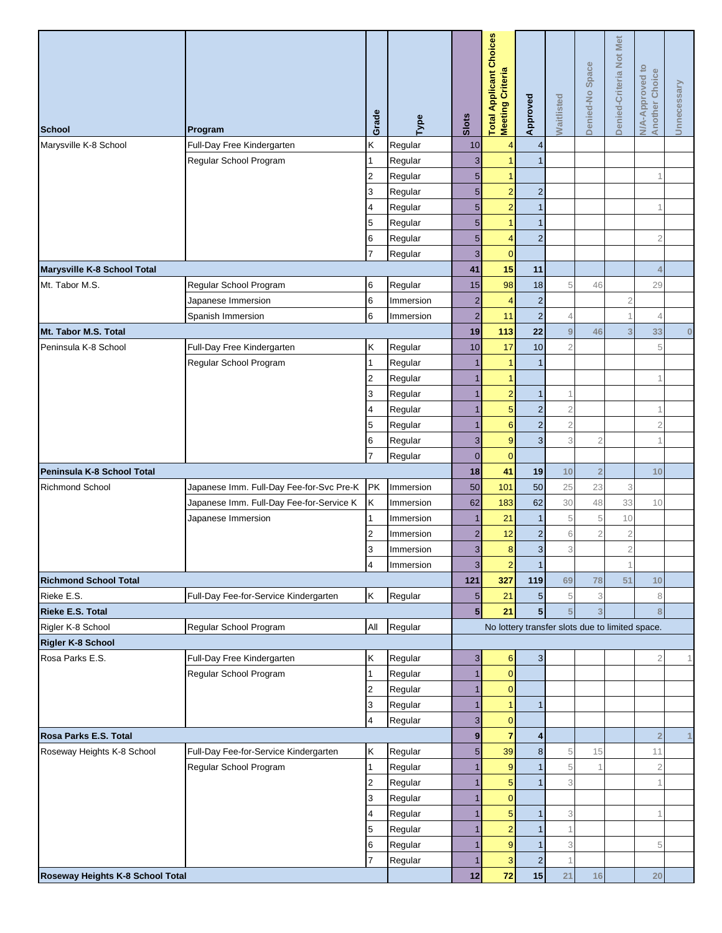| <b>School</b>                    | Program                                  | Grade               | Type      | Slots           | <b>Total Applicant Choices</b><br><b>Meeting Criteria</b> | Approved       | <b>Waitlisted</b>         | Denied-No Space | Met<br>Denied-Criteria Not | <b>N/A-Approved to</b><br>Another Choice | Unnecessary |
|----------------------------------|------------------------------------------|---------------------|-----------|-----------------|-----------------------------------------------------------|----------------|---------------------------|-----------------|----------------------------|------------------------------------------|-------------|
| Marysville K-8 School            | Full-Day Free Kindergarten               | Κ                   | Regular   | 10              | $\Delta$                                                  | $\overline{4}$ |                           |                 |                            |                                          |             |
|                                  | Regular School Program                   | 1                   | Regular   | $\overline{3}$  | 1                                                         | $\mathbf{1}$   |                           |                 |                            |                                          |             |
|                                  |                                          | $\overline{2}$      | Regular   | $5\overline{)}$ | 1                                                         |                |                           |                 |                            |                                          |             |
|                                  |                                          | 3                   | Regular   | $5\overline{)}$ | $\overline{2}$                                            | $\sqrt{2}$     |                           |                 |                            |                                          |             |
|                                  |                                          | $\overline{4}$      | Regular   | 5 <sub>5</sub>  | $\overline{2}$                                            | $\mathbf{1}$   |                           |                 |                            |                                          |             |
|                                  |                                          | 5                   | Regular   | 5 <sup>5</sup>  | 1                                                         | $\mathbf{1}$   |                           |                 |                            |                                          |             |
|                                  |                                          | 6                   | Regular   | $5\overline{)}$ | $\overline{4}$                                            | $\overline{2}$ |                           |                 |                            | $\overline{2}$                           |             |
|                                  |                                          | 7                   | Regular   | $\overline{3}$  | $\mathbf{0}$                                              |                |                           |                 |                            |                                          |             |
| Marysville K-8 School Total      |                                          |                     |           | 41              | 15                                                        | 11             |                           |                 |                            | $\overline{4}$                           |             |
| Mt. Tabor M.S.                   | Regular School Program                   | 6                   | Regular   | 15              | 98                                                        | 18             | 5                         | 46              |                            | 29                                       |             |
|                                  | Japanese Immersion                       | 6                   | Immersion | $\overline{2}$  | $\overline{4}$                                            | $\overline{c}$ |                           |                 | $\mathbf{2}$               |                                          |             |
|                                  | Spanish Immersion                        | 6                   | Immersion | $\overline{2}$  | 11                                                        | $\overline{c}$ | $\overline{4}$            |                 |                            | $\overline{A}$                           |             |
| Mt. Tabor M.S. Total             |                                          |                     |           | 19              | 113                                                       | 22             | $9\,$                     | 46              | 3                          | 33                                       | $\bf{0}$    |
| Peninsula K-8 School             | Full-Day Free Kindergarten               | Κ                   | Regular   | 10              | 17                                                        | 10             | $\overline{c}$            |                 |                            | 5                                        |             |
|                                  | Regular School Program                   | 1                   | Regular   | 1               | -1                                                        | $\mathbf{1}$   |                           |                 |                            |                                          |             |
|                                  |                                          | $\overline{2}$      | Regular   | 1               | 1                                                         |                |                           |                 |                            |                                          |             |
|                                  |                                          | 3                   | Regular   |                 | $\overline{2}$                                            | $\mathbf{1}$   | 1                         |                 |                            |                                          |             |
|                                  |                                          | 4                   | Regular   |                 | 5                                                         | $\overline{2}$ | $\overline{2}$            |                 |                            |                                          |             |
|                                  |                                          | 5                   | Regular   | 1               | $6\phantom{1}6$                                           | $\mathbf 2$    | $\mathbf 2$               |                 |                            | $\overline{2}$                           |             |
|                                  |                                          | 6                   | Regular   | $\mathbf{3}$    | 9                                                         | $\sqrt{3}$     | 3                         | $\overline{2}$  |                            |                                          |             |
|                                  |                                          | $\overline{7}$      | Regular   | $\overline{0}$  | $\overline{0}$                                            |                |                           |                 |                            |                                          |             |
| Peninsula K-8 School Total       |                                          |                     |           | 18              | 41                                                        | 19             | 10                        | $\overline{2}$  |                            | 10                                       |             |
| <b>Richmond School</b>           | Japanese Imm. Full-Day Fee-for-Svc Pre-K | PK                  | Immersion | 50              | 101                                                       | 50             | 25                        | 23              | 3                          |                                          |             |
|                                  | Japanese Imm. Full-Day Fee-for-Service K | Κ                   | Immersion | 62              | 183                                                       | 62             | 30                        | 48              | 33                         | 10                                       |             |
|                                  | Japanese Immersion                       | 1                   | Immersion | $\mathbf{1}$    | 21                                                        | $\mathbf{1}$   | 5                         | 5               | 10                         |                                          |             |
|                                  |                                          | $\overline{2}$      | Immersion | $\overline{2}$  | 12                                                        | $\overline{2}$ | $\mathsf 6$               | $\overline{2}$  | $\mathbf 2$                |                                          |             |
|                                  |                                          | 3                   | Immersion | $\overline{3}$  | 8                                                         | $\mathbf{3}$   | 3                         |                 | $\overline{2}$             |                                          |             |
|                                  |                                          | $\overline{a}$      | Immersion | $\mathbf{3}$    | $\overline{2}$                                            | 1              |                           |                 |                            |                                          |             |
| <b>Richmond School Total</b>     |                                          |                     |           | $121$           | 327                                                       | 119            | 69                        | 78              | 51                         | 10                                       |             |
| Rieke E.S.                       | Full-Day Fee-for-Service Kindergarten    | K                   | Regular   | $5\phantom{.0}$ | 21                                                        | $\sqrt{5}$     | 5                         | 3               |                            | 8                                        |             |
| <b>Rieke E.S. Total</b>          |                                          |                     |           | 5 <sup>1</sup>  | 21                                                        | 5 <sup>1</sup> | $\overline{5}$            | 3               |                            | 8                                        |             |
| Rigler K-8 School                | Regular School Program                   | All                 | Regular   |                 | No lottery transfer slots due to limited space.           |                |                           |                 |                            |                                          |             |
| Rigler K-8 School                |                                          |                     |           |                 |                                                           |                |                           |                 |                            |                                          |             |
| Rosa Parks E.S.                  | Full-Day Free Kindergarten               | Κ                   | Regular   | $\mathbf{3}$    | $6\phantom{1}$                                            | $\mathbf{3}$   |                           |                 |                            | $\overline{2}$                           |             |
|                                  | Regular School Program                   | $\mathbf{1}$        | Regular   | 1               | $\overline{0}$<br>$\overline{0}$                          |                |                           |                 |                            |                                          |             |
|                                  |                                          | $\overline{2}$      | Regular   | 1<br>1          | 1                                                         | $\mathbf{1}$   |                           |                 |                            |                                          |             |
|                                  |                                          | 3<br>$\overline{4}$ | Regular   | 3               | $\overline{0}$                                            |                |                           |                 |                            |                                          |             |
| Rosa Parks E.S. Total            |                                          |                     | Regular   | 9               | $\overline{7}$                                            | 4              |                           |                 |                            | $\overline{2}$                           |             |
| Roseway Heights K-8 School       | Full-Day Fee-for-Service Kindergarten    | Κ                   | Regular   | $5\overline{)}$ | 39                                                        | $\bf 8$        | 5                         | 15              |                            | 11                                       |             |
|                                  | Regular School Program                   | $\mathbf{1}$        | Regular   | 1               | 9                                                         | $\mathbf{1}$   | 5                         |                 |                            | $\overline{2}$                           |             |
|                                  |                                          | $\overline{2}$      | Regular   |                 | 5                                                         | $\mathbf{1}$   | 3                         |                 |                            | $\overline{1}$                           |             |
|                                  |                                          | 3                   | Regular   |                 | $\overline{0}$                                            |                |                           |                 |                            |                                          |             |
|                                  |                                          | 4                   | Regular   | 1               | 5                                                         | $\mathbf{1}$   | 3                         |                 |                            |                                          |             |
|                                  |                                          | 5                   | Regular   |                 | $\overline{2}$                                            |                | 1                         |                 |                            |                                          |             |
|                                  |                                          | 6                   | Regular   | 1               | 9                                                         | $\mathbf{1}$   | $\ensuremath{\mathsf{3}}$ |                 |                            | 5                                        |             |
|                                  |                                          | $\overline{7}$      | Regular   |                 | 3                                                         | $\overline{c}$ | $\overline{1}$            |                 |                            |                                          |             |
| Roseway Heights K-8 School Total |                                          |                     |           | 12              | 72                                                        | 15             | 21                        | 16              |                            | 20                                       |             |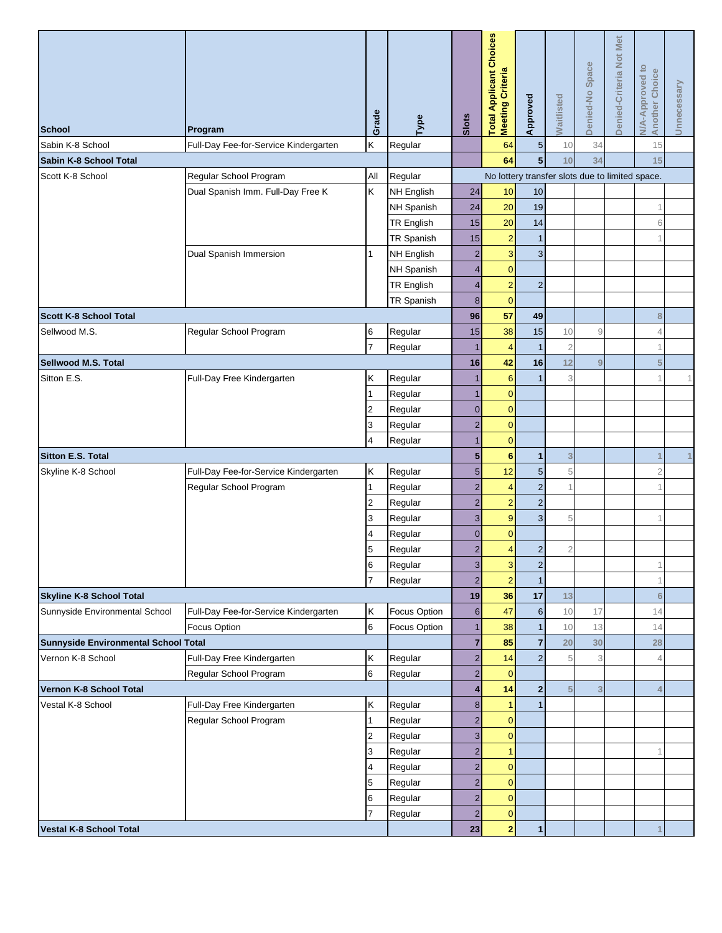| <b>School</b>                                                     | Program                               | Grade          | Type              | Slots                                           | <b>Total Applicant Choices</b><br>Meeting Criteria | Approved           | <b>Naitlisted</b> | Denied-No Space | Denied-Criteria Not Met | <b>N/A-Approved to</b><br><b>Another Choice</b> | Unnecessary |  |  |
|-------------------------------------------------------------------|---------------------------------------|----------------|-------------------|-------------------------------------------------|----------------------------------------------------|--------------------|-------------------|-----------------|-------------------------|-------------------------------------------------|-------------|--|--|
| Sabin K-8 School                                                  | Full-Day Fee-for-Service Kindergarten | K              | Regular           |                                                 | 64                                                 | $\sqrt{5}$         | 10                | 34              |                         | 15                                              |             |  |  |
| Sabin K-8 School Total                                            |                                       |                |                   | $\overline{\mathbf{5}}$<br>64<br>10<br>34<br>15 |                                                    |                    |                   |                 |                         |                                                 |             |  |  |
| Scott K-8 School                                                  | Regular School Program                | All            | Regular           |                                                 | No lottery transfer slots due to limited space.    |                    |                   |                 |                         |                                                 |             |  |  |
|                                                                   | Dual Spanish Imm. Full-Day Free K     | Κ              | <b>NH English</b> | 24                                              | 10                                                 | 10                 |                   |                 |                         |                                                 |             |  |  |
|                                                                   |                                       |                | NH Spanish        | 24                                              | 20                                                 | 19                 |                   |                 |                         |                                                 |             |  |  |
|                                                                   |                                       |                | <b>TR English</b> | 15                                              | 20                                                 | 14                 |                   |                 |                         | 6                                               |             |  |  |
|                                                                   |                                       |                | TR Spanish        | 15                                              | $\overline{c}$                                     | $\mathbf{1}$       |                   |                 |                         |                                                 |             |  |  |
|                                                                   | Dual Spanish Immersion                | $\mathbf{1}$   | NH English        | $\overline{2}$                                  | 3                                                  | 3                  |                   |                 |                         |                                                 |             |  |  |
|                                                                   |                                       |                | NH Spanish        | $\overline{\mathbf{4}}$                         | $\mathbf{0}$                                       |                    |                   |                 |                         |                                                 |             |  |  |
|                                                                   |                                       |                | TR English        | 4                                               | $\overline{2}$                                     | $\overline{c}$     |                   |                 |                         |                                                 |             |  |  |
|                                                                   |                                       |                | TR Spanish        | 8                                               | $\overline{0}$                                     |                    |                   |                 |                         |                                                 |             |  |  |
| <b>Scott K-8 School Total</b>                                     |                                       |                |                   | 96                                              | 57                                                 | 49                 |                   |                 |                         | 8                                               |             |  |  |
| Sellwood M.S.                                                     | Regular School Program                | 6              | Regular           | 15                                              | 38                                                 | 15                 | 10                | 9               |                         | ⊿                                               |             |  |  |
|                                                                   |                                       | $\overline{7}$ | Regular           |                                                 | $\overline{4}$                                     | $\overline{1}$     | $\overline{2}$    |                 |                         |                                                 |             |  |  |
| Sellwood M.S. Total                                               |                                       |                |                   | 16                                              | 42                                                 | 16                 | 12                | 9               |                         | 5                                               |             |  |  |
| Sitton E.S.                                                       | Full-Day Free Kindergarten            | Κ              | Regular           |                                                 | $6\phantom{1}6$                                    | $\mathbf 1$        | 3                 |                 |                         |                                                 | 1           |  |  |
|                                                                   |                                       | 1              | Regular           | 1                                               | $\mathbf{0}$                                       |                    |                   |                 |                         |                                                 |             |  |  |
|                                                                   |                                       | $\overline{2}$ | Regular           | $\overline{0}$                                  | $\overline{0}$                                     |                    |                   |                 |                         |                                                 |             |  |  |
|                                                                   |                                       | 3              | Regular           | $\overline{2}$                                  | $\overline{0}$                                     |                    |                   |                 |                         |                                                 |             |  |  |
|                                                                   |                                       | $\overline{4}$ | Regular           |                                                 | $\overline{0}$                                     |                    |                   |                 |                         |                                                 |             |  |  |
| <b>Sitton E.S. Total</b>                                          |                                       |                |                   | 5                                               | $6\phantom{1}6$                                    | $\mathbf 1$        | $\mathbf{3}$      |                 |                         |                                                 | 1           |  |  |
| Skyline K-8 School                                                | Full-Day Fee-for-Service Kindergarten | Κ              | Regular           | 5                                               | 12                                                 | $\overline{5}$     | 5                 |                 |                         | $\overline{2}$                                  |             |  |  |
|                                                                   | Regular School Program                | $\mathbf{1}$   | Regular           | $\overline{2}$                                  | $\overline{4}$                                     | $\overline{2}$     | 1                 |                 |                         |                                                 |             |  |  |
|                                                                   |                                       | $\overline{2}$ | Regular           | $\overline{2}$                                  | $\overline{2}$                                     | $\overline{2}$     |                   |                 |                         |                                                 |             |  |  |
|                                                                   |                                       | 3              | Regular           | 3                                               | 9                                                  | $\overline{3}$     | 5                 |                 |                         |                                                 |             |  |  |
|                                                                   |                                       | 4              | Regular           | $\mathbf 0$                                     | $\overline{0}$                                     |                    |                   |                 |                         |                                                 |             |  |  |
|                                                                   |                                       | 5              | Regular           | $\overline{2}$                                  | 4                                                  | $\overline{2}$     | $\overline{c}$    |                 |                         |                                                 |             |  |  |
|                                                                   |                                       | 6<br>17        | Regular           | $\mathbf{3}$                                    | 3                                                  | $\mathbf{2}$       |                   |                 |                         | 1                                               |             |  |  |
|                                                                   |                                       |                | Regular           | $\overline{2}$<br>19                            | $\overline{2}$<br>36                               | $\mathbf{1}$<br>17 | 13                |                 |                         | $6\phantom{1}6$                                 |             |  |  |
| <b>Skyline K-8 School Total</b><br>Sunnyside Environmental School | Full-Day Fee-for-Service Kindergarten | Κ              | Focus Option      | $\,6$                                           | 47                                                 | $\,$ 6 $\,$        | 10                | 17              |                         | 14                                              |             |  |  |
|                                                                   | Focus Option                          | 6              | Focus Option      | $\mathbf{1}$                                    | 38                                                 | $\mathbf{1}$       | 10                | 13              |                         | 14                                              |             |  |  |
| Sunnyside Environmental School Total                              |                                       |                |                   | $\overline{7}$                                  | 85                                                 | $\overline{7}$     | 20                | 30              |                         | 28                                              |             |  |  |
| Vernon K-8 School                                                 | Full-Day Free Kindergarten            | Κ              | Regular           | $\overline{c}$                                  | 14                                                 | $\overline{2}$     | 5                 | 3               |                         | ⊿                                               |             |  |  |
|                                                                   | Regular School Program                | 6              | Regular           | $\overline{c}$                                  | $\mathbf{0}$                                       |                    |                   |                 |                         |                                                 |             |  |  |
| Vernon K-8 School Total                                           |                                       |                |                   | 4                                               | 14                                                 | $\mathbf{2}$       | 5                 | 3               |                         |                                                 |             |  |  |
| Vestal K-8 School                                                 | Full-Day Free Kindergarten            | Κ              | Regular           | $\bf 8$                                         | 1                                                  |                    |                   |                 |                         |                                                 |             |  |  |
|                                                                   | Regular School Program                | 1              | Regular           | $\overline{c}$                                  | $\overline{0}$                                     |                    |                   |                 |                         |                                                 |             |  |  |
|                                                                   |                                       | $\overline{2}$ | Regular           | 3                                               | $\overline{0}$                                     |                    |                   |                 |                         |                                                 |             |  |  |
|                                                                   |                                       | 3              | Regular           | $\overline{2}$                                  | 1                                                  |                    |                   |                 |                         |                                                 |             |  |  |
|                                                                   |                                       | 4              | Regular           | $\overline{c}$                                  | $\overline{0}$                                     |                    |                   |                 |                         |                                                 |             |  |  |
|                                                                   |                                       | 5              | Regular           | $\overline{2}$                                  | $\overline{0}$                                     |                    |                   |                 |                         |                                                 |             |  |  |
|                                                                   |                                       | 6              | Regular           | $\overline{c}$                                  | $\overline{0}$                                     |                    |                   |                 |                         |                                                 |             |  |  |
|                                                                   |                                       | 17             | Regular           | $\overline{2}$                                  | $\overline{0}$                                     |                    |                   |                 |                         |                                                 |             |  |  |
| <b>Vestal K-8 School Total</b>                                    |                                       |                |                   | 23                                              | $\overline{\mathbf{2}}$                            | $\mathbf 1$        |                   |                 |                         |                                                 |             |  |  |